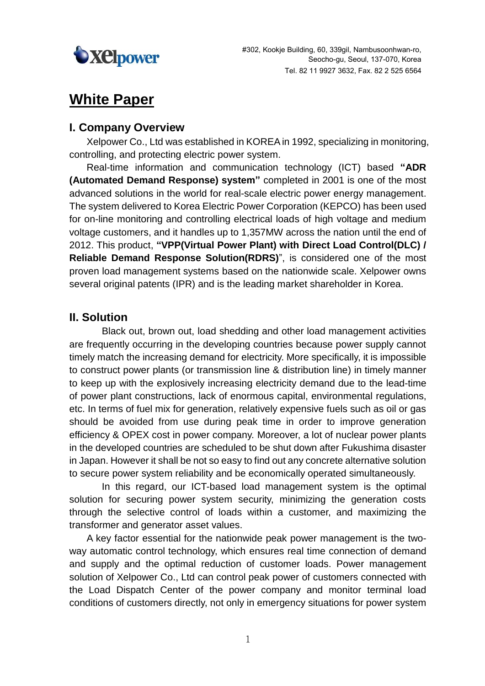

# **White Paper**

### **I. Company Overview**

Xelpower Co., Ltd was established in KOREA in 1992, specializing in monitoring, controlling, and protecting electric power system.

Real-time information and communication technology (ICT) based **"ADR (Automated Demand Response) system"** completed in 2001 is one of the most advanced solutions in the world for real-scale electric power energy management. The system delivered to Korea Electric Power Corporation (KEPCO) has been used for on-line monitoring and controlling electrical loads of high voltage and medium voltage customers, and it handles up to 1,357MW across the nation until the end of 2012. This product, **"VPP(Virtual Power Plant) with Direct Load Control(DLC) / Reliable Demand Response Solution(RDRS)**", is considered one of the most proven load management systems based on the nationwide scale. Xelpower owns several original patents (IPR) and is the leading market shareholder in Korea.

## **II. Solution**

Black out, brown out, load shedding and other load management activities are frequently occurring in the developing countries because power supply cannot timely match the increasing demand for electricity. More specifically, it is impossible to construct power plants (or transmission line & distribution line) in timely manner to keep up with the explosively increasing electricity demand due to the lead-time of power plant constructions, lack of enormous capital, environmental regulations, etc. In terms of fuel mix for generation, relatively expensive fuels such as oil or gas should be avoided from use during peak time in order to improve generation efficiency & OPEX cost in power company. Moreover, a lot of nuclear power plants in the developed countries are scheduled to be shut down after Fukushima disaster in Japan. However it shall be not so easy to find out any concrete alternative solution to secure power system reliability and be economically operated simultaneously.

In this regard, our ICT-based load management system is the optimal solution for securing power system security, minimizing the generation costs through the selective control of loads within a customer, and maximizing the transformer and generator asset values.

A key factor essential for the nationwide peak power management is the twoway automatic control technology, which ensures real time connection of demand and supply and the optimal reduction of customer loads. Power management solution of Xelpower Co., Ltd can control peak power of customers connected with the Load Dispatch Center of the power company and monitor terminal load conditions of customers directly, not only in emergency situations for power system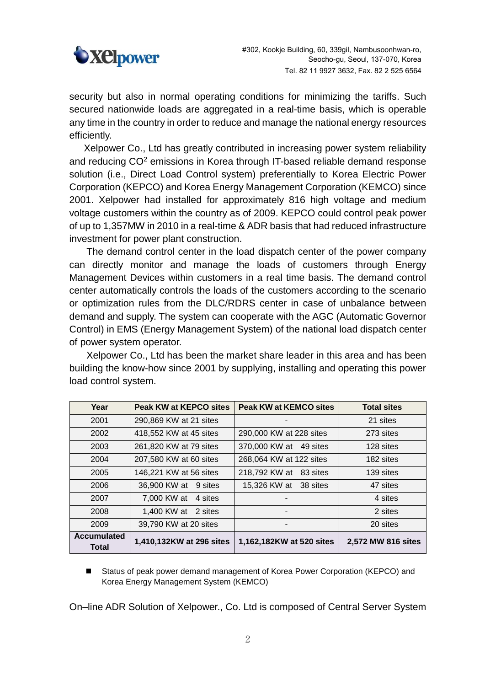

security but also in normal operating conditions for minimizing the tariffs. Such secured nationwide loads are aggregated in a real-time basis, which is operable any time in the country in order to reduce and manage the national energy resources efficiently.

Xelpower Co., Ltd has greatly contributed in increasing power system reliability and reducing CO<sup>2</sup> emissions in Korea through IT-based reliable demand response solution (i.e., Direct Load Control system) preferentially to Korea Electric Power Corporation (KEPCO) and Korea Energy Management Corporation (KEMCO) since 2001. Xelpower had installed for approximately 816 high voltage and medium voltage customers within the country as of 2009. KEPCO could control peak power of up to 1,357MW in 2010 in a real-time & ADR basis that had reduced infrastructure investment for power plant construction.

The demand control center in the load dispatch center of the power company can directly monitor and manage the loads of customers through Energy Management Devices within customers in a real time basis. The demand control center automatically controls the loads of the customers according to the scenario or optimization rules from the DLC/RDRS center in case of unbalance between demand and supply. The system can cooperate with the AGC (Automatic Governor Control) in EMS (Energy Management System) of the national load dispatch center of power system operator.

Xelpower Co., Ltd has been the market share leader in this area and has been building the know-how since 2001 by supplying, installing and operating this power load control system.

| Year                        | Peak KW at KEPCO sites   | Peak KW at KEMCO sites   | <b>Total sites</b> |
|-----------------------------|--------------------------|--------------------------|--------------------|
| 2001                        | 290,869 KW at 21 sites   |                          | 21 sites           |
| 2002                        | 418,552 KW at 45 sites   | 290,000 KW at 228 sites  | 273 sites          |
| 2003                        | 261,820 KW at 79 sites   | 370,000 KW at 49 sites   | 128 sites          |
| 2004                        | 207,580 KW at 60 sites   | 268,064 KW at 122 sites  | 182 sites          |
| 2005                        | 146,221 KW at 56 sites   | 218,792 KW at 83 sites   | 139 sites          |
| 2006                        | 36,900 KW at 9 sites     | 15,326 KW at 38 sites    | 47 sites           |
| 2007                        | 7,000 KW at 4 sites      |                          | 4 sites            |
| 2008                        | 1,400 KW at 2 sites      | -                        | 2 sites            |
| 2009                        | 39,790 KW at 20 sites    | $\blacksquare$           | 20 sites           |
| <b>Accumulated</b><br>Total | 1,410,132KW at 296 sites | 1,162,182KW at 520 sites | 2,572 MW 816 sites |

■ Status of peak power demand management of Korea Power Corporation (KEPCO) and Korea Energy Management System (KEMCO)

On–line ADR Solution of Xelpower., Co. Ltd is composed of Central Server System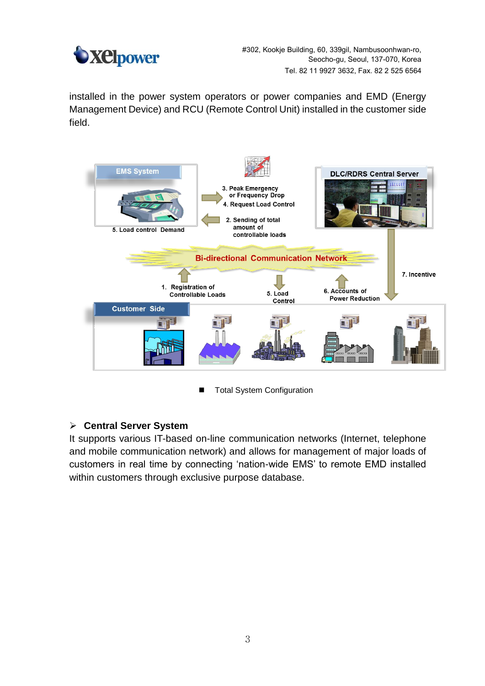

#302, Kookje Building, 60, 339gil, Nambusoonhwan-ro, Seocho-gu, Seoul, 137-070, Korea Tel. 82 11 9927 3632, Fax. 82 2 525 6564

installed in the power system operators or power companies and EMD (Energy Management Device) and RCU (Remote Control Unit) installed in the customer side field.



■ Total System Configuration

#### **Central Server System**

It supports various IT-based on-line communication networks (Internet, telephone and mobile communication network) and allows for management of major loads of customers in real time by connecting 'nation-wide EMS' to remote EMD installed within customers through exclusive purpose database.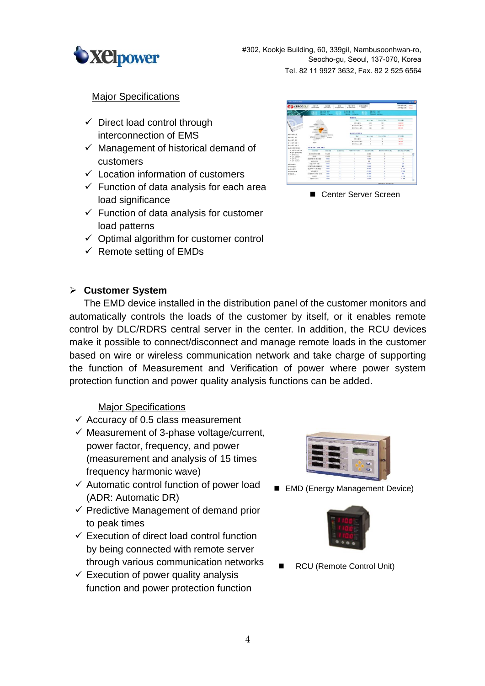

Center Server Screen

#### **Major Specifications**

- $\checkmark$  Direct load control through interconnection of EMS
- $\checkmark$  Management of historical demand of customers
- $\checkmark$  Location information of customers
- $\checkmark$  Function of data analysis for each area load significance
- $\checkmark$  Function of data analysis for customer load patterns
- $\checkmark$  Optimal algorithm for customer control
- $\checkmark$  Remote setting of EMDs

#### **Customer System**

The EMD device installed in the distribution panel of the customer monitors and automatically controls the loads of the customer by itself, or it enables remote control by DLC/RDRS central server in the center. In addition, the RCU devices make it possible to connect/disconnect and manage remote loads in the customer based on wire or wireless communication network and take charge of supporting the function of Measurement and Verification of power where power system

protection function and power quality analysis functions can be added.

#### Major Specifications

- $\checkmark$  Accuracy of 0.5 class measurement
- $\checkmark$  Measurement of 3-phase voltage/current, power factor, frequency, and power (measurement and analysis of 15 times frequency harmonic wave)
- $\checkmark$  Automatic control function of power load (ADR: Automatic DR)
- $\checkmark$  Predictive Management of demand prior to peak times
- $\checkmark$  Execution of direct load control function by being connected with remote server through various communication networks
- $\checkmark$  Execution of power quality analysis function and power protection function



■ EMD (Energy Management Device)



RCU (Remote Control Unit)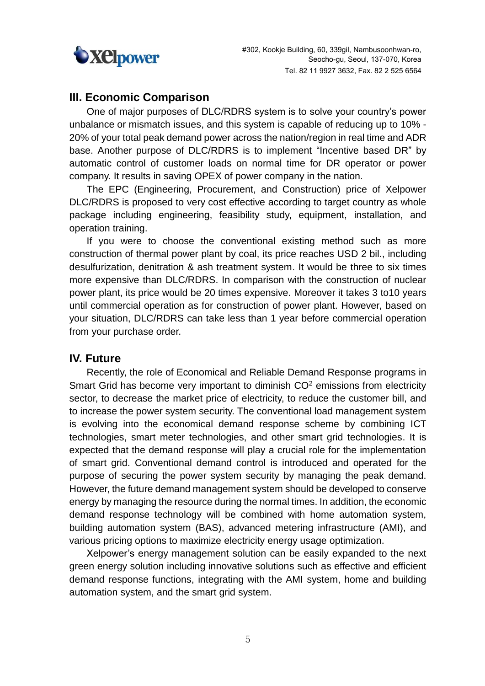

### **III. Economic Comparison**

One of major purposes of DLC/RDRS system is to solve your country's power unbalance or mismatch issues, and this system is capable of reducing up to 10% - 20% of your total peak demand power across the nation/region in real time and ADR base. Another purpose of DLC/RDRS is to implement "Incentive based DR" by automatic control of customer loads on normal time for DR operator or power company. It results in saving OPEX of power company in the nation.

The EPC (Engineering, Procurement, and Construction) price of Xelpower DLC/RDRS is proposed to very cost effective according to target country as whole package including engineering, feasibility study, equipment, installation, and operation training.

If you were to choose the conventional existing method such as more construction of thermal power plant by coal, its price reaches USD 2 bil., including desulfurization, denitration & ash treatment system. It would be three to six times more expensive than DLC/RDRS. In comparison with the construction of nuclear power plant, its price would be 20 times expensive. Moreover it takes 3 to10 years until commercial operation as for construction of power plant. However, based on your situation, DLC/RDRS can take less than 1 year before commercial operation from your purchase order.

#### **IV. Future**

Recently, the role of Economical and Reliable Demand Response programs in Smart Grid has become very important to diminish  $CO<sup>2</sup>$  emissions from electricity sector, to decrease the market price of electricity, to reduce the customer bill, and to increase the power system security. The conventional load management system is evolving into the economical demand response scheme by combining ICT technologies, smart meter technologies, and other smart grid technologies. It is expected that the demand response will play a crucial role for the implementation of smart grid. Conventional demand control is introduced and operated for the purpose of securing the power system security by managing the peak demand. However, the future demand management system should be developed to conserve energy by managing the resource during the normal times. In addition, the economic demand response technology will be combined with home automation system, building automation system (BAS), advanced metering infrastructure (AMI), and various pricing options to maximize electricity energy usage optimization.

Xelpower's energy management solution can be easily expanded to the next green energy solution including innovative solutions such as effective and efficient demand response functions, integrating with the AMI system, home and building automation system, and the smart grid system.